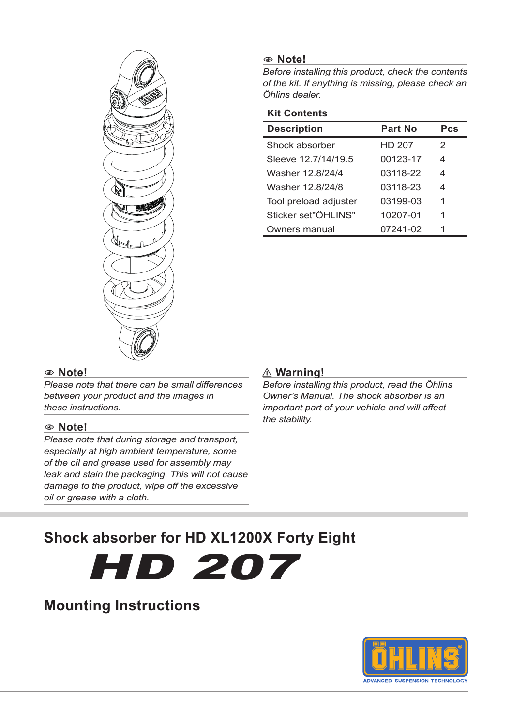

#### 1 **Note!**

*Before installing this product, check the contents of the kit. If anything is missing, please check an Öhlins dealer.*

| <b>Kit Contents</b>   |          |     |
|-----------------------|----------|-----|
| <b>Description</b>    | Part No  | Pcs |
| Shock absorber        | HD 207   | 2   |
| Sleeve 12 7/14/19 5   | 00123-17 | 4   |
| Washer 12.8/24/4      | 03118-22 | 4   |
| Washer 12 8/24/8      | 03118-23 | 4   |
| Tool preload adjuster | 03199-03 | 1   |
| Sticker set"ÖHI INS"  | 10207-01 | 1   |
| Owners manual         | 07241-02 | 1   |

#### 1 **Note!**

*Please note that there can be small differences between your product and the images in these instructions.*

#### 1 **Note!**

*Please note that during storage and transport, especially at high ambient temperature, some of the oil and grease used for assembly may leak and stain the packaging. This will not cause damage to the product, wipe off the excessive oil or grease with a cloth.*

#### ⚠ **Warning!**

*Before installing this product, read the Öhlins Owner's Manual. The shock absorber is an important part of your vehicle and will affect the stability.*

# **Shock absorber for HD XL1200X Forty Eight**

HD 207

# **Mounting Instructions**

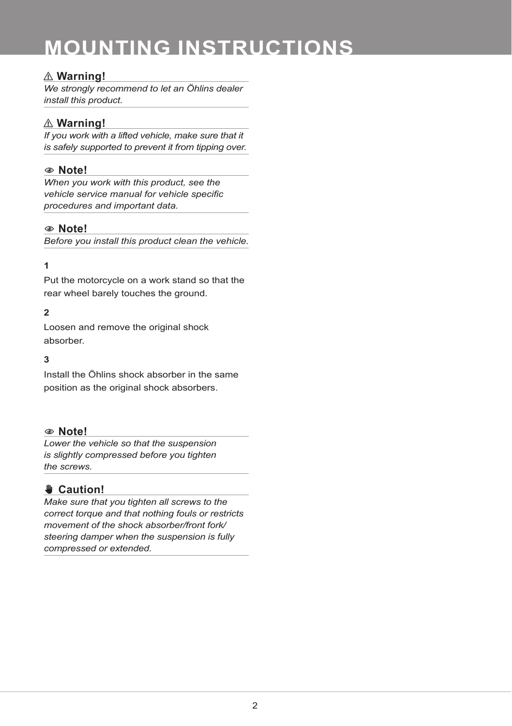# **MOUNTING INSTRUCTIONS**

### ⚠ **Warning!**

*We strongly recommend to let an Öhlins dealer install this product.*

### ⚠ **Warning!**

*If you work with a lifted vehicle, make sure that it is safely supported to prevent it from tipping over.*

### 1 **Note!**

*When you work with this product, see the vehicle service manual for vehicle specific procedures and important data.*

#### 1 **Note!**

*Before you install this product clean the vehicle.*

#### **1**

Put the motorcycle on a work stand so that the rear wheel barely touches the ground.

#### **2**

Loosen and remove the original shock absorber.

#### **3**

Install the Öhlins shock absorber in the same position as the original shock absorbers.

#### 1 **Note!**

*Lower the vehicle so that the suspension is slightly compressed before you tighten the screws.*

## ✋**✋ Caution!**

*Make sure that you tighten all screws to the correct torque and that nothing fouls or restricts movement of the shock absorber/front fork/ steering damper when the suspension is fully compressed or extended.*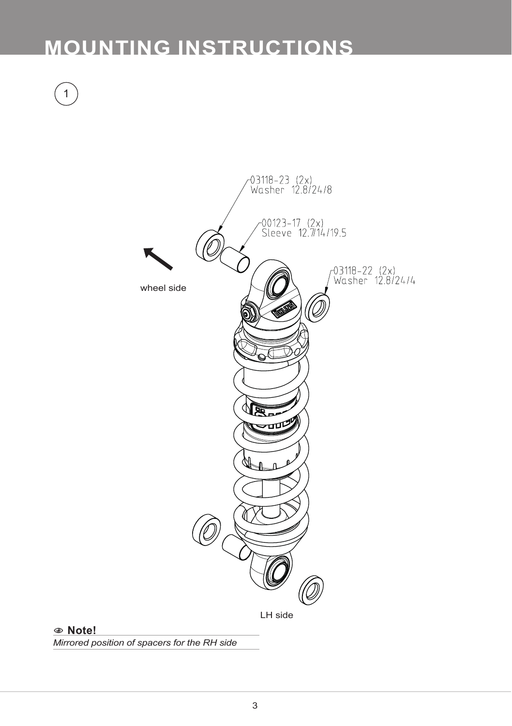# **MOUNTING INSTRUCTIONS**

1





1 **Note!**